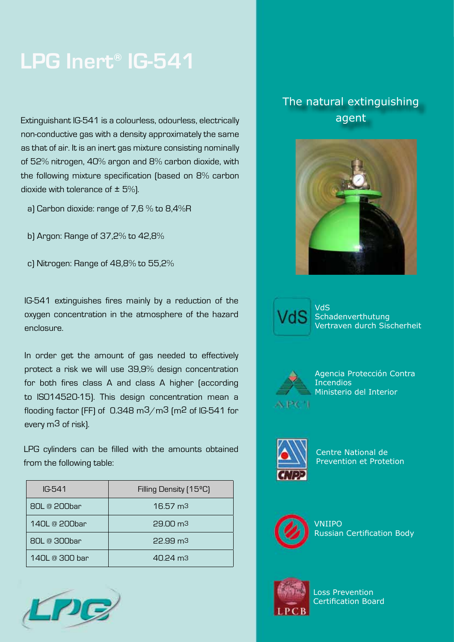## **LPG Inert® IG-541**

Extinguishant IG-541 is a colourless, odourless, electrically and agent agent agent non-conductive gas with a density approximately the same as that of air. It is an inert gas mixture consisting nominally of 52% nitrogen, 40% argon and 8% carbon dioxide, with the following mixture specification (based on 8% carbon dioxide with tolerance of  $\pm$  5%).

- a) Carbon dioxide: range of 7,6 % to 8,4%R
- b) Argon: Range of 37,2% to 42,8%
- c) Nitrogen: Range of 48,8% to 55,2%

IG-541 extinguishes fires mainly by a reduction of the oxygen concentration in the atmosphere of the hazard enclosure.

In order get the amount of gas needed to effectively protect a risk we will use 39,9% design concentration for both fires class A and class A higher (according to ISO14520-15). This design concentration mean a flooding factor (FF) of 0.348 m3/m3 (m2 of IG-541 for every m3 of risk).

LPG cylinders can be filled with the amounts obtained from the following table:

| $IG-541$           | Filling Density [15 <sup>°</sup> C] |
|--------------------|-------------------------------------|
| 80L @ 200bar       | $16.57 \text{ m}$ 3                 |
| $140I$ @ 200bar    | 29.00 <sub>m3</sub>                 |
| 80L @ 300bar       | 22.99 m3                            |
| $140I \n°$ 300 bar | $40.24 \text{ m}^3$                 |



# The natural extinguishing





VdS Schadenverthutung Vertraven durch Sischerheit



Agencia Protección Contra **Incendios** Ministerio del Interior



Centre National de Prevention et Protetion



VNIIPO Russian Certification Body



Loss Prevention Certification Board